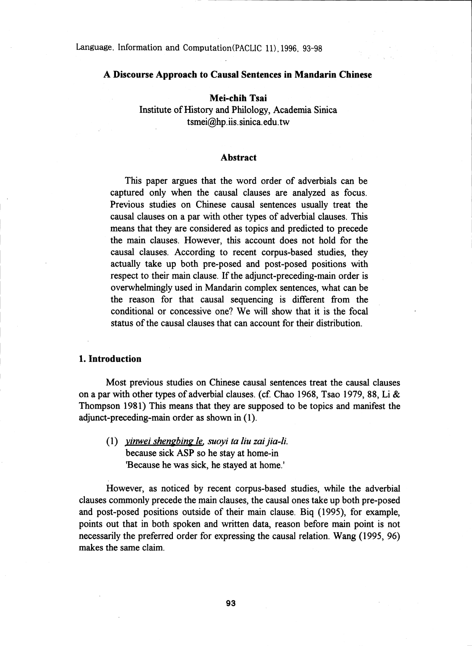Language, Information and Computation(PACLIC 11),1996, 93-98

### A Discourse Approach to Causal Sentences in Mandarin Chinese

### Mei-chih Tsai

Institute of History and Philology, Academia Sinica tsmei@hp .iis. sinica. edu.tw

#### **Abstract**

This paper argues that the word order of adverbials can be captured only when the causal clauses are analyzed as focus. Previous studies on Chinese causal sentences usually treat the causal clauses on a par with other types of adverbial clauses. This means that they are considered as topics and predicted to precede the main clauses. However, this account does not hold for the causal clauses. According to recent corpus-based studies, they actually take up both pre-posed and post-posed positions with respect to their main clause. If the adjunct-preceding-main order is overwhelmingly used in Mandarin complex sentences, what can be the reason for that causal sequencing is different from the conditional or concessive one? We will show that it is the focal status of the causal clauses that can account for their distribution.

### 1. Introduction

Most previous studies on Chinese causal sentences treat the causal clauses on a par with other types of adverbial clauses. (cf. Chao 1968, Tsao 1979, 88, Li & Thompson 1981) This means that they are supposed to be topics and manifest the adjunct-preceding-main order as shown in (1).

(1) *vinwei shengbing le, suoyi to liu zai jia-li.* because sick ASP so he stay at home-in 'Because he was sick, he stayed at home.'

However, as noticed by recent corpus-based studies, while the adverbial clauses commonly precede the main clauses, the causal ones take up both pre-posed and post-posed positions outside of their main clause. Biq (1995), for example; points out that in both spoken and written data, reason before main point is not necessarily the preferred order for expressing the causal relation. Wang (1995, 96) makes the same claim.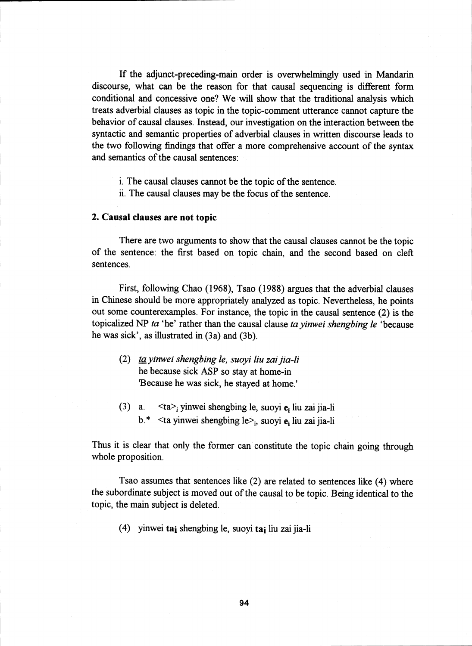If the adjunct-preceding-main order is overwhelmingly used in Mandarin discourse, what can be the reason for that causal sequencing is different form conditional and concessive one? We will show that the traditional analysis which treats adverbial clauses as topic in the topic-comment utterance cannot capture the behavior of causal clauses. Instead, our investigation on the interaction between the syntactic and semantic properties of adverbial clauses in written discourse leads to the two following findings that offer a more comprehensive account of the syntax and semantics of the causal sentences:

- i. The causal clauses cannot be the topic of the sentence.
- ii. The causal clauses may be the focus of the sentence.

## 2. Causal clauses are not topic

There are two arguments to show that the causal clauses cannot be the topic of the sentence: the first based on topic chain, and the second based on cleft sentences.

First, following Chao (1968), Tsao (1988) argues that the adverbial clauses in Chinese should be more appropriately analyzed as topic. Nevertheless, he points out some counterexamples. For instance, the topic in the causal sentence (2) is the topicalized NP *ta* 'he' rather than the causal clause *ta yinwei shengbing le* 'because he was sick', as illustrated in (3a) and (3b).

- *(2) ta yinwei shengbing le, suoyi liu zai jia-li* he because sick ASP so stay at home-in 'Because he was sick, he stayed at home.'
- (3) a.  $\langle ta \rangle$  yinwei shengbing le, suoyi e<sub>i</sub> liu zai jia-li  $b.*$  <ta yinwei shengbing le><sub>i</sub>, suoyi  $e_i$  liu zai jia-li

Thus it is clear that only the former can constitute the topic chain going through whole proposition.

Tsao assumes that sentences like (2) are related to sentences like (4) where the subordinate subject is moved out of the causal to be topic. Being identical to the topic, the main subject is deleted.

(4) yinwei tai shengbing le, suoyi tai liu zai jia-li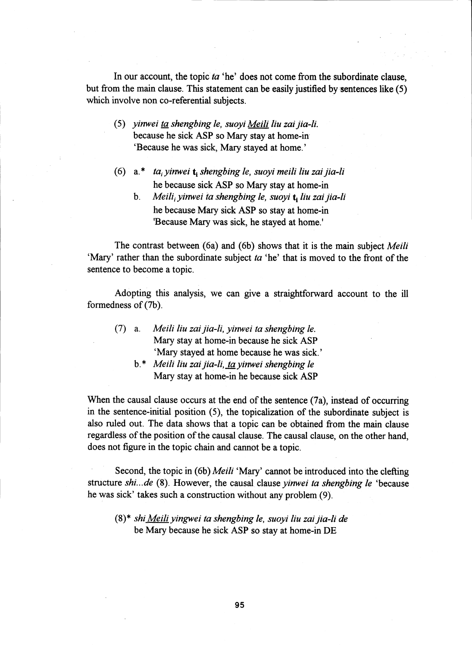In our account, the topic *ta* 'he' does not come from the subordinate clause, but from the main clause. This statement can be easily justified by sentences like (5) which involve non co-referential subjects.

- *(5) yinwei ta shengbing le, suoyi Meili liu zai jia-li.* because he sick ASP so Mary stay at home-in' `Because he was sick, Mary stayed at home.'
- (6) a. \* *tai yinwei t shengbing le, suoyi meili liu zai jia-li* he because sick ASP so Mary stay at home-in
	- b. *Meili; yinwei ta shengbing le, suoyi liu zai jia-li* he because Mary sick ASP so stay at home-in 'Because Mary was sick, he stayed at home.'

The contrast between (6a) and (6b) shows that it is the main subject *Meili* `Mary' rather than the subordinate subject *ta* 'he' that is moved to the front of the sentence to become a topic.

Adopting this analysis, we can give a straightforward account to the ill formedness of (7b).

- (7) a. *Meili liu zai jia-li, yinwei ta shengbing le.* Mary stay at home-in because he sick ASP `Mary stayed at home because he was sick.'
	- b. \* *Meili liu zai jia-li, ta yinwei shengbing le* Mary stay at home-in he because sick ASP

When the causal clause occurs at the end of the sentence (7a), instead of occurring in the sentence-initial position (5), the topicalization of the subordinate subject *is* also ruled out. The data shows that a topic can be obtained from the main clause regardless of the position of the causal clause. The causal clause, on the other hand, does not figure in the topic chain and cannot be a topic.

Second, the topic in (6b) *Meili* 'Mary' cannot be introduced into the clefting structure *shi... de (8).* However, the causal clause *yinwei ta shengbing le* 'because he was sick' takes such a construction without any problem (9).

(8)\* *shi Meili yingwei ta shengbing le, suoyi liu zai jia-li de* be Mary because he sick ASP so stay at home-in DE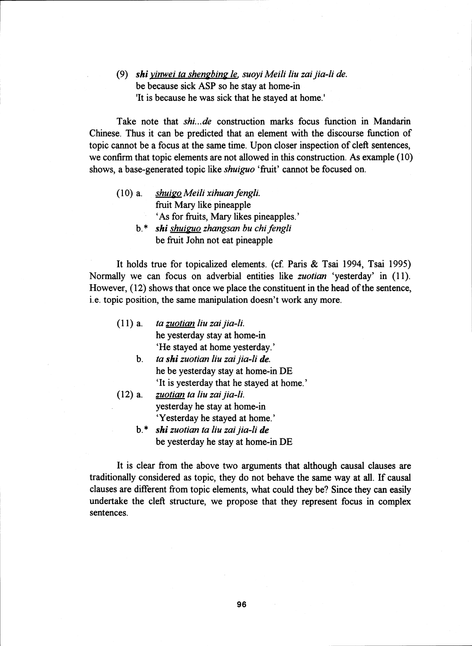*(9) shi yinwei ta shengbing le, suoyi Meili liu zai jia-li de.* be because sick ASP so he stay at home-in 'It *is* because he was sick that he stayed at home.'

Take note that *shi... de* construction marks focus function in Mandarin Chinese. Thus it can be predicted that an element with the discourse function of topic cannot be a focus at the same time. Upon closer inspection of cleft sentences, we confirm that topic elements are not allowed in this construction. As example (10) shows, a base-generated topic like *shuiguo* 'fruit' cannot be focused on.

(10) a. *shuigo Meili xihuan fengli. ,* fruit Mary like pineapple `As for fruits, Mary likes pineapples.'

> b. \* *shi shuiguo zhangsan bu chi fengli ,* be fruit John not eat pineapple

It holds true for topicalized elements. (cf. Paris & Tsai 1994, Tsai 1995) Normally we can focus on adverbial entities like *zuotian* 'yesterday' in (11). However, (12) shows that once we place the constituent in the head of the sentence, i.e. topic position, the same manipulation doesn't work any more.

- (11) a. *ta zuotian liu zai jia-li.* he yesterday stay at home-in `He stayed at home yesterday.' b. *ta shi zuotian liu zai jia-li de.* he be yesterday stay at home-in DE `It is yesterday that he stayed at home.' (12) a. *zuotian ta liu zai jia-li.* yesterday he stay at home-in `Yesterday he stayed at home.'
	- b. *shi zuotian ta liu zai jia-li de* be yesterday he stay at home-in DE

It is clear from the above two arguments that although causal clauses are traditionally considered as topic, they do not behave the same way at all. If causal clauses are different from topic elements, what could they be? Since they can easily undertake the cleft structure, we propose that they represent focus in complex sentences.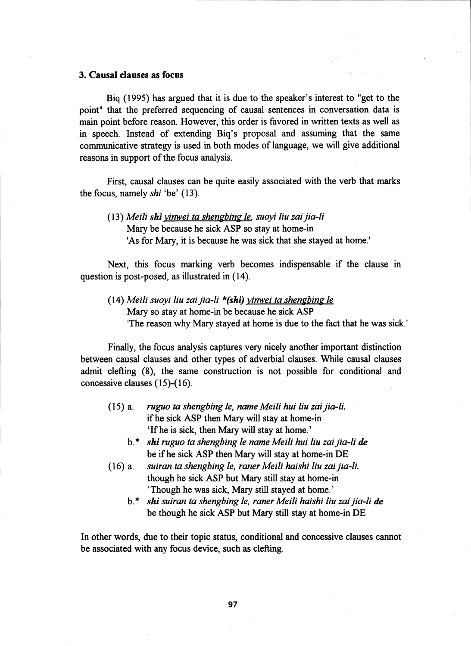### 3. Causal clauses as focus

Biq (1995) has argued that it is due to the speaker's interest to "get to the point" that the preferred sequencing of causal sentences in conversation data *is* main point before reason. However, this order is favored in written texts as well as in speech. Instead of extending Biq's proposal and assuming that the same communicative strategy is used in both modes of language, we will give additional reasons in support of the focus analysis.

First, causal clauses can be quite easily associated with the verb that marks the focus, namely *shi* 'be' (13).

*(13) Meili shi vinwei ta shengbing le, suoyi liu zai jia-li* Mary be because he sick ASP so stay at home-in 'As for Mary, it is because he was sick that she stayed at home.'

Next, this focus marking verb becomes indispensable if the clause in question is post-posed, as illustrated in (14).

*(14) Meili suoyi liu zai jia-li \*(shi) vinwei ta shengbing le*  Mary so stay at home-in be because he sick ASP 'The reason why Mary stayed at home is due to the fact that he was sick.'

Finally, the focus analysis captures very nicely another important distinction between causal clauses and other types of adverbial clauses. While causal clauses admit clefting (8), the same construction is not possible for conditional and concessive clauses (15)-(16).

- (15) a. *ruguo ta shengbing le, name Meili hui liu zai jia-li.* if he sick ASP then Mary will stay at home-in `If he is sick, then Mary will stay at home.'
	- b.\* *shi ruguo ta shengbing le name Meili hui liu zai jia-li de* be if he sick ASP then Mary will stay at home-in DE
- (16) a. *suiran ta shengbing le, raner Meili haishi liu zai jia-li.* though he sick ASP but Mary still stay at home-in `Though he was sick, Mary still stayed at home.'
	- b. \* *shi suiran ta shengbing le, raner Meili haishi liu zai jia-li de* be though he sick ASP but Mary still stay at home-in DE

In other words, due to their topic status, conditional and concessive clauses cannot be associated with any focus device, such as clefting.